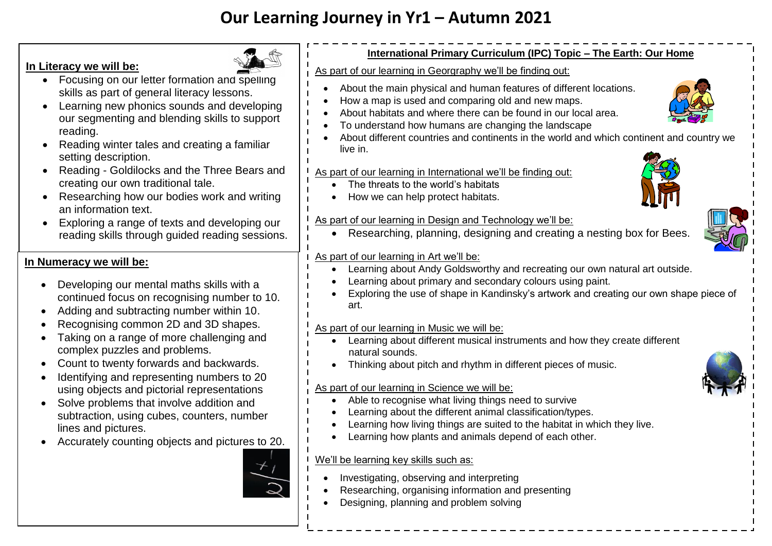# **Our Learning Journey in Yr1 – Autumn 2021**

### **In Literacy we will be:**



- Focusing on our letter formation and spelling skills as part of general literacy lessons.
- Learning new phonics sounds and developing our segmenting and blending skills to support reading.
- Reading winter tales and creating a familiar setting description.
- Reading Goldilocks and the Three Bears and creating our own traditional tale.
- Researching how our bodies work and writing an information text.
- Exploring a range of texts and developing our reading skills through guided reading sessions.

# **In Numeracy we will be:**

- Developing our mental maths skills with a continued focus on recognising number to 10.
- Adding and subtracting number within 10.
- Recognising common 2D and 3D shapes.
- Taking on a range of more challenging and complex puzzles and problems.
- Count to twenty forwards and backwards.
- Identifying and representing numbers to 20 using objects and pictorial representations
- Solve problems that involve addition and subtraction, using cubes, counters, number lines and pictures.
- Accurately counting objects and pictures to 20.



### **International Primary Curriculum (IPC) Topic – The Earth: Our Home**

As part of our learning in Georgraphy we'll be finding out:

- About the main physical and human features of different locations.
- How a map is used and comparing old and new maps.
- About habitats and where there can be found in our local area.
- To understand how humans are changing the landscape
- About different countries and continents in the world and which continent and country we live in.

#### As part of our learning in International we'll be finding out:

- The threats to the world's habitats
- How we can help protect habitats.

#### As part of our learning in Design and Technology we'll be:

Researching, planning, designing and creating a nesting box for Bees.

#### As part of our learning in Art we'll be:

- Learning about Andy Goldsworthy and recreating our own natural art outside.
- Learning about primary and secondary colours using paint.
- Exploring the use of shape in Kandinsky's artwork and creating our own shape piece of art.

#### As part of our learning in Music we will be:

- Learning about different musical instruments and how they create different natural sounds.
- Thinking about pitch and rhythm in different pieces of music.

# As part of our learning in Science we will be:

- Able to recognise what living things need to survive
- Learning about the different animal classification/types.
- Learning how living things are suited to the habitat in which they live.
- Learning how plants and animals depend of each other.

#### We'll be learning key skills such as:

- Investigating, observing and interpreting
- Researching, organising information and presenting
- Designing, planning and problem solving